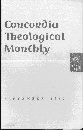# **Concordia Theological Monthly**



PTEMBER · 1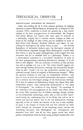# **THEOLOGICAL** OBSERVER

### EXISTENTIALISM: PHILOSOPHY OR THEOLOGY?

Under this heading Dr. R. S. Ford, assistant professor of religious education at Garrett Biblical Institute, Evanston, IlL, in *Religion in Life*  (summer 1959), endeavors to decide the question by a very careful analysis of the basic presuppositions of existentialism. He disagrees with Sartre, Marcel, and Jaspers, who insist upon its character as a philosophy, judging that it contains certain concepts as these are found in the writings of John Calvin and are exhibited in those of Karl Barth, Emil Brunner, Reinhold Niebuhr, and others. In concluding his investigation the author writes, in part: " $\ldots$  the obvious dependency of existential thinkers upon the theological concerns of the Reformation expressed through Soren Kierkegaard, coupled with their failure to 'play the game' philosophically, would suggest that this movement has yet to establish itself as a philosophy. Rather, it is a reformulation, sometimes in a non-theistic framework, of some of the basic presuppositions underlying Reformation theology. It is old faith in new disguise." The last statement, we believe, is only partially true and so perhaps not true at all. The writer himself suggests the wide cleavage between Reformation theology and existentialist thought when he asks: "Could it be that the existentialist thinkers have not embraced *enough* [italics in original} of Reformation thought?" What the question intimates is very true, for existentialist thinkers - and here we have in mind the so-called existentialist theologians — usually fail to embrace the full Gospel message of the Reformation theology. Or if they do embrace the Reformation Gospel they depart from their existentialist pattern. Such existentialist fundamentals as "the abyss of Nothingness," "the condition of deep despair," "the awareness of the irrelevancy and meaninglessness of the world," and others, which the writer finds expressed also in Calvin's theology, though perhaps in non-existentialist terminology, attach only to such as have experienced merely the condemning force of the divine Law and so are in mental and spiritual despair. But in the true Reformation theology, especially in that of luther, the function of the Law is only ancillary; its glory is the Gospel of Christ's full and free salvation by faith, which through the conversion of the despairing sinner removes the "horrifying encounter with Nothingness," the "estrangement and alienation from God," and all the other pagan moods into which godless existentialism hurls the husks-eating prodigal existentialist who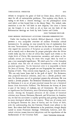#### THEOLOGICAL OBSERVER 693

refuses to recognize the grace of God in Christ Jesus, which solves, once for all, all existentialist problems. This explains why Barth, in trying to set forth a "church theology," cut the philosophical navel cord which at first bound him to the dreary Dane. No, indeed, existentialism is not the "old faith in new disguise," but since it leaves out the Gospel, it is no faith at all, at least not the faith of the Reformation theology set forth by both Luther and Calvin.

JOHN THEODORE MUELLER

#### SOME MODERN *PROTESTANT* ATTITUDES *TOWARDS* HERMENEUTICS

Under this heading the *Catholic Biblical Quarterly* (April 1959) presents a very acceptable overview of modern Protestant critical hermeneutics. In passing, we may remark by way of explanation that the term "hermeneutics" is here used not in the sense of those scholars who regard the narratives of Scripture as actually or historically true and so merely seek to determine by proper principles what the divine words really say, but in that of critics who regard such events as the virgin birth of Christ, His resurrection, ascension, and others as historically untrue, yet having for those who taught them by word or pen a very meaningful significance. We shall quote but a few thoughts to indicate what this sort of critical hermeneutics means in actual practical application. To the historical critic it is impossible to know the Jesus of history. The gospels are not biographies but merely confessions of faith. They contain many legends, e. g., the miracle stories. "We can only know Jesus clad in the garb of myth." For Reimarus, who projected historical criticism, Jesus was a Jewish political messiah; for Bultmann, one of its principal present-day advocates, He was merely a Jewish prophet. For Reimarus Christianity was a deception; for Bultmann it is an act of pure practical reason but not a historical datum *(kein historisches Faktum).* For Bultmann the history of Jesus is part of the history of Judaism, not of Christianity. He can have no significance for Christianity, since Christianity began with the resurrection. Among the European advocates of the canons of historical criticism were Strauss, Hermann, Harnack, and Schweitzer; in America, too, we find the movement is rapidly spreading and gaining champions in many theological schools in our country. There are, of course, such as distinguish between the Jesus of history and the Christ of faith, with the understanding that the Christian Church must adhere to the latter. But others find this distinction to be pernicious, though deeply rooted in recent Protestant theology. Ultimately, however, such historical criticism means historical skepticism and the repudiation of the fundamentals of the Christian faith. JOHN THEODORE MUELLER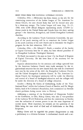## BRIEF ITEMS FROM THE NATIONAL LUTHERAN COUNCIL

Columbus, Ohio.-Milwaukee has been chosen as the site for the constituting convention of the Luther League of The American Lutheran Church, the new church body that will be formed next year by a three-way merger. The Luther League will meet Aug. 16-21, 1960, with 3,500 official delegates representing nearly 125,000 Lutheran youth in the United States and Canada from the three uniting groups — the American, Evangelical, and United Evangelical Lutheran churches.

According to the Lutheran Youth Convention Committee, the purpose of the youth meeting will be to constitute the Luther League as the youth auxiliary of the new church and to determine the league's program for the first triennium, 1961-63.

Columbus, Ohio. - Dr. Edward C. Fendt, a member of the faculty at Capital University here for 35 years, has been elected president of its Evangelical Lutheran Theological Seminary.

Dr. Fendt was named to the post on June 1 by the Board of Regents of Capital University. He has been dean of the seminary for the past 13 years.

Separate administrations for the seminary and college operated here by the American Lutheran Church were made necessary by the organizational structure for the new church body that will be constituted next year by the union of the ALC, the Evangelical Lutheran Church, and the United Evangelical Lutheran Church. In The American Lutheran Church the theological seminaries will be under the direction and control of a board of theological education and the colleges will be under the direction of a board of college education.

Sweden. - Bishop Bo Giertz of Gothenburg, leader of the "Confessional Front" within the Lutheran Church of Sweden, and Dr. Margit Sahlin, head of St. Catherine's Foundation, both commented on Swedish church problems during recent visits to Norway.

Addressing a meeting of the Brotherhood of Clergymen Faithful to the Confession, in Oslo, Bishop Giertz, who also is vice-president of the Lutheran World Federation, said that the controversy in Sweden over the ordination of women pastors is not the most important of current issues. More important, he stressed, are the questions of the Bible being the true word of God and of faithfulness to the Holy Scriptures.

Bishop Giertz said he regarded the present disagreement as only a preliminary to a division between "a confessional church and a sec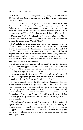ularized majority which, although nominally belonging to the Swedish National Church, finds something objectionable even in fundamental Christian truths."

"I should be very much surprised if in the near future we are not faced with a far more serious struggle than up to now," he said. He indicated two opposing viewpoints; one which believes that the Scriptures are given us by God and one which believes that the Bible does contain the Word of God, but not that it is the Word of God.

*Washington, D. C.* - A sociologist of the American Lutheran Church asserted in Capitol Hill testimony that warped and distorted views of sex may be an American "Achilles' heel."

Dr. Carl F. Reuss of Columbus, Ohio, warned that immature attitudes of many Americans toward sex can be used by the Communist conspiracy to undermine the foundations of national life. He said that the "abnormal glorifying, commercializing, and even idolizing of physical sex, apart from its deeper and truer psychological, emotional, and spiritual meaning and without wholesome channels of expression, may be an American Achilles' heel toward which a clever antagonist can direct his darts of destruction."

Dr. Reuss is executive secretary of the ALC's Board for Christian Social Action. He appeared before the Subcommittee on Postal Operations of the House Committee on Post Office and Civil Service, which is holding hearings on obscene literature.

At its convention in San Antonio, Tex., last fall the ALC assigned the task of studying and guiding action on the problem of pornographic printed materials to its Christian Social Action Board.

Dr. Reuss pointed out to the Congressional Committee that this action came as a result of a "groundswell of concern" over the problem of pornographic printed materials and their effect not only upon "our own youth" but also upon the youth of the community. He said that his board had approved a statement on "The Church Looks at Immorality in Print and on Screen." This will be used for stimulating thinking, promoting discussion, and guiding action among members of the church.

"As Lutherans," he emphasized, "we prefer to work for individual regeneration through God's power from within rather than seeking to compel morality by legislation from outside. We do need laws as a support to sound, defensible positions of fundamental morality, decency, and well-being but not as a means of imposing our religious views upon others."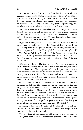"In the light of this," he went on, "our first line of attack is to upgrade personal understanding, attitudes, and preferences." He pointed out that the person is the key to corrective approaches and said that for this reason the church emphasizes wholesome sex education, realistic self-understanding and acceptance, good companionship, duty to others as well as rights, and education for higher values.

San Francisco. - The 10,000-member National Evangelical Lutheran Church has been invited to join the 2,315,OOO-member Lutheran Church — Missouri Synod. The invitation was extended by the latter's 44th general convention here. The two bodies have been closely allied in doctrine and practice for 35 years.

Organized in 1898, the NELC is composed of Lutherans of Finnish descent and is headed by Dr. J. E. Nopola of Esko, Minn. It has 57 congregations and 33 pastors, many of whom are graduates of the Missouri Synod's Concordia Theological Seminary in Springfield, Ill.

The Finnish Relations Committee of the Synod was instructed to arrange a meeting between representatives of the NELC and the Synod's Committee on Doctrinal Unity to discuss union of the two church bodies.

*Minneapolis, Minn.* - The first issue of *Response*, new periodical of the Lutheran Society for Worship, Music, and the Arts, was issued here on Pentecost. The magazine, which will appear twice yearly, is an attempt on the part of the society "to evince in print its desire to help Christian worshipers of the Triune God and to alert Lutherans in particular to the rich integrating heritage bequeathed to them in their worship, music, and the arts."

Editor Walter E. Buszin, a member of the faculty of Concordia Seminary at St. Louis, Mo., points out in his foreword to the new magazine that there does not exist in America today "a non-Roman Catholic periodical on Christian worship and its arts which strives to be more than newsy in character." He feels this may be due to the fact that Protestants are not united in worship life and practice, and he also points Out that large segments of Protestantism "have ignored and rejected some of the magnificent possessions which God has given to the Church in order to integrate and unify His people."

According to the editor, the choice of the name *Response* indicates that worship is regarded as a response to God. The magazine will thus have a theocentric approach.

The next issue of the magazine will appear at the beginning of Advent, with plans envisioned to make it a quarterly in the near future.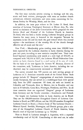The first issue includes articles relating to theology and the arts, music and book reviews, photographs with texts on modern church architecture, editorial comments, and news notes concerning the Lutheran Society for Worship, Music, and the Arts.

In addition, the issue pays tribute to Dr. Luther D. Reed, dean emeritus of Lutheran Theological Seminary at Mount Airy, Pa., who served as chairman of the Joint Commissions which prepared the new *Service Book and Hymnal* of the Lutheran Church in America. Dr. Reed, who has been a leader among Lutheran liturgical groups in America for many years, is honored in the magazine "because he represents in his life and his work the goal toward which this journal aspires - the enrichment of the worship life of the church through effective use of music and the arts."

*New York*.--Membership gains totaling more than 100,000 have been reported by the Lutheran churches in Latin America during the past two years, according to new statistics compiled here. Their combined baptized membership now stands at a new high of 856,285, as compared with 749,164 in 1957, the Lutheran World Federation Com mittee on Latin America found in a mail survey of its area of work. On the basis of the new figures Dr. Stewart W. Herman, director of the committee, said, "Lutherans in Latin America, including the unchurched, may be conservatively estimated at 900,000."

The survey revealed that 509 pastors are now serving groups of Lutherans in 21 American countries south of the United States. Such groups include 22 "diaspora" congregations of non-Latin Americans, mostly Europeans, that are served on a multilingual basis with special help from the LWF committee. Of these, six each are located in Colombia and Venezuela, three in Mexico, two in Ecuador, and one each in EI Salvador, Costa Rica, Nicaragua, Honduras, and Peru. In all these countries there are organized "diaspora" groups of Lutherans from Germany and the Nordic countries - Scandinavia and Finland.

The largest two Lutheran bodies in Latin America are in Brazil. They are the 600,000-member Evangelical Church of Lutheran Confession in Brazil, an LWF affiliate, and the 102,289-member Evangelical Lutheran Church in Brazil, a District body of The Lutheran Church-Missouri Synod. Swedish, Norwegian, and Danish groups, plus a mission of the Evangelical Lutheran Church of North America, bring Brazil's total of baptized Lutherans up to 703,944.

Next to Brazil in Lutheran strength is Argentina, with a reported membership total of 94,140. Contributing to this total are, in order